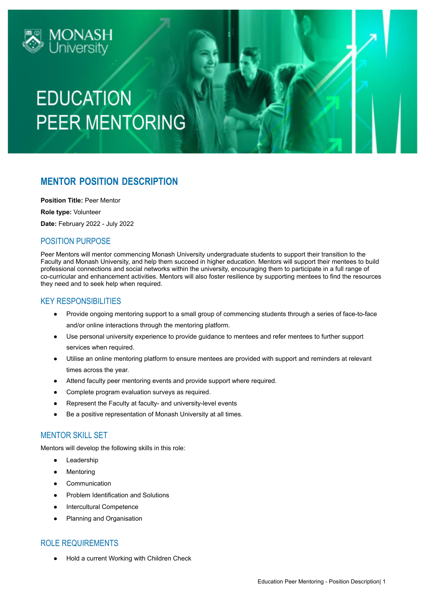

## **EDUCATION PEER MENTORING**

### **MENTOR POSITION DESCRIPTION**

**Position Title:** Peer Mentor

**Role type:** Volunteer

**Date:** February 2022 - July 2022

### POSITION PURPOSE

Peer Mentors will mentor commencing Monash University undergraduate students to support their transition to the Faculty and Monash University, and help them succeed in higher education. Mentors will support their mentees to build professional connections and social networks within the university, encouraging them to participate in a full range of co-curricular and enhancement activities. Mentors will also foster resilience by supporting mentees to find the resources they need and to seek help when required.

#### KEY RESPONSIBILITIES

- Provide ongoing mentoring support to a small group of commencing students through a series of face-to-face and/or online interactions through the mentoring platform.
- Use personal university experience to provide guidance to mentees and refer mentees to further support services when required.
- Utilise an online mentoring platform to ensure mentees are provided with support and reminders at relevant times across the year.
- Attend faculty peer mentoring events and provide support where required.
- Complete program evaluation surveys as required.
- Represent the Faculty at faculty- and university-level events
- Be a positive representation of Monash University at all times.

### MENTOR SKILL SET

Mentors will develop the following skills in this role:

- Leadership
- Mentoring
- Communication
- Problem Identification and Solutions
- **Intercultural Competence**
- Planning and Organisation

### ROLE REQUIREMENTS

Hold a current Working with Children Check